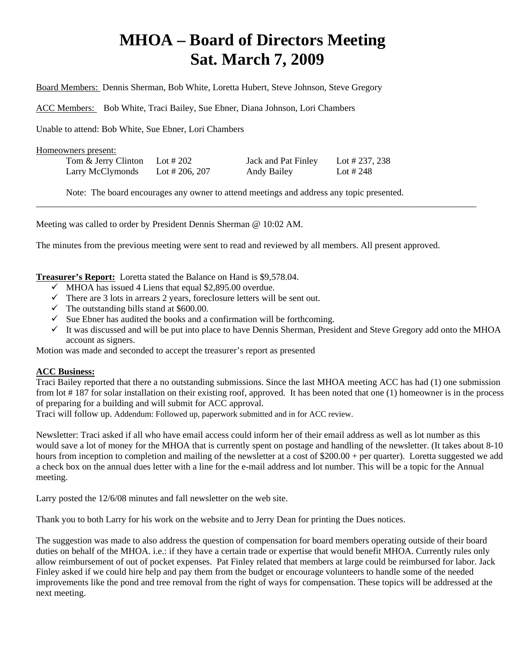# **MHOA – Board of Directors Meeting Sat. March 7, 2009**

Board Members: Dennis Sherman, Bob White, Loretta Hubert, Steve Johnson, Steve Gregory

ACC Members: Bob White, Traci Bailey, Sue Ebner, Diana Johnson, Lori Chambers

Unable to attend: Bob White, Sue Ebner, Lori Chambers

Homeowners present:

| Tom & Jerry Clinton | Lot # 202      | Jack and Pat Finley | Lot # 237, 238 |
|---------------------|----------------|---------------------|----------------|
| Larry McClymonds    | Lot # 206, 207 | <b>Andy Bailey</b>  | Lot # 248      |

Note: The board encourages any owner to attend meetings and address any topic presented.

\_\_\_\_\_\_\_\_\_\_\_\_\_\_\_\_\_\_\_\_\_\_\_\_\_\_\_\_\_\_\_\_\_\_\_\_\_\_\_\_\_\_\_\_\_\_\_\_\_\_\_\_\_\_\_\_\_\_\_\_\_\_\_\_\_\_\_\_\_\_\_\_\_\_\_\_\_\_\_\_\_\_\_\_\_\_\_\_\_\_\_\_\_\_\_\_

Meeting was called to order by President Dennis Sherman @ 10:02 AM.

The minutes from the previous meeting were sent to read and reviewed by all members. All present approved.

**Treasurer's Report:** Loretta stated the Balance on Hand is \$9,578.04.

- $\checkmark$  MHOA has issued 4 Liens that equal \$2,895.00 overdue.
- $\checkmark$  There are 3 lots in arrears 2 years, foreclosure letters will be sent out.
- $\checkmark$  The outstanding bills stand at \$600.00.
- $\checkmark$  Sue Ebner has audited the books and a confirmation will be forthcoming.
- $\checkmark$  It was discussed and will be put into place to have Dennis Sherman, President and Steve Gregory add onto the MHOA account as signers.

Motion was made and seconded to accept the treasurer's report as presented

#### **ACC Business:**

Traci Bailey reported that there a no outstanding submissions. Since the last MHOA meeting ACC has had (1) one submission from lot # 187 for solar installation on their existing roof, approved. It has been noted that one (1) homeowner is in the process of preparing for a building and will submit for ACC approval.

Traci will follow up. Addendum: Followed up, paperwork submitted and in for ACC review.

Newsletter: Traci asked if all who have email access could inform her of their email address as well as lot number as this would save a lot of money for the MHOA that is currently spent on postage and handling of the newsletter. (It takes about 8-10 hours from inception to completion and mailing of the newsletter at a cost of \$200.00 + per quarter). Loretta suggested we add a check box on the annual dues letter with a line for the e-mail address and lot number. This will be a topic for the Annual meeting.

Larry posted the 12/6/08 minutes and fall newsletter on the web site.

Thank you to both Larry for his work on the website and to Jerry Dean for printing the Dues notices.

The suggestion was made to also address the question of compensation for board members operating outside of their board duties on behalf of the MHOA. i.e.: if they have a certain trade or expertise that would benefit MHOA. Currently rules only allow reimbursement of out of pocket expenses. Pat Finley related that members at large could be reimbursed for labor. Jack Finley asked if we could hire help and pay them from the budget or encourage volunteers to handle some of the needed improvements like the pond and tree removal from the right of ways for compensation. These topics will be addressed at the next meeting.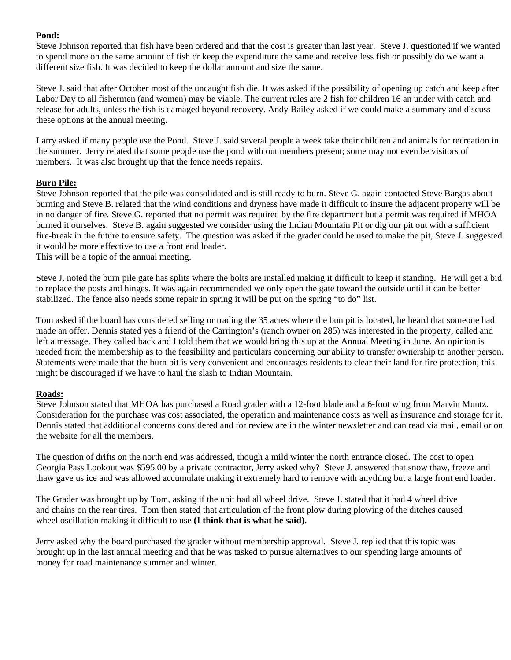# **Pond:**

Steve Johnson reported that fish have been ordered and that the cost is greater than last year. Steve J. questioned if we wanted to spend more on the same amount of fish or keep the expenditure the same and receive less fish or possibly do we want a different size fish. It was decided to keep the dollar amount and size the same.

Steve J. said that after October most of the uncaught fish die. It was asked if the possibility of opening up catch and keep after Labor Day to all fishermen (and women) may be viable. The current rules are 2 fish for children 16 an under with catch and release for adults, unless the fish is damaged beyond recovery. Andy Bailey asked if we could make a summary and discuss these options at the annual meeting.

Larry asked if many people use the Pond. Steve J. said several people a week take their children and animals for recreation in the summer. Jerry related that some people use the pond with out members present; some may not even be visitors of members. It was also brought up that the fence needs repairs.

# **Burn Pile:**

Steve Johnson reported that the pile was consolidated and is still ready to burn. Steve G. again contacted Steve Bargas about burning and Steve B. related that the wind conditions and dryness have made it difficult to insure the adjacent property will be in no danger of fire. Steve G. reported that no permit was required by the fire department but a permit was required if MHOA burned it ourselves. Steve B. again suggested we consider using the Indian Mountain Pit or dig our pit out with a sufficient fire-break in the future to ensure safety. The question was asked if the grader could be used to make the pit, Steve J. suggested it would be more effective to use a front end loader.

This will be a topic of the annual meeting.

Steve J. noted the burn pile gate has splits where the bolts are installed making it difficult to keep it standing. He will get a bid to replace the posts and hinges. It was again recommended we only open the gate toward the outside until it can be better stabilized. The fence also needs some repair in spring it will be put on the spring "to do" list.

Tom asked if the board has considered selling or trading the 35 acres where the bun pit is located, he heard that someone had made an offer. Dennis stated yes a friend of the Carrington's (ranch owner on 285) was interested in the property, called and left a message. They called back and I told them that we would bring this up at the Annual Meeting in June. An opinion is needed from the membership as to the feasibility and particulars concerning our ability to transfer ownership to another person*. S*tatements were made that the burn pit is very convenient and encourages residents to clear their land for fire protection; this might be discouraged if we have to haul the slash to Indian Mountain.

## **Roads:**

Steve Johnson stated that MHOA has purchased a Road grader with a 12-foot blade and a 6-foot wing from Marvin Muntz. Consideration for the purchase was cost associated, the operation and maintenance costs as well as insurance and storage for it. Dennis stated that additional concerns considered and for review are in the winter newsletter and can read via mail, email or on the website for all the members.

The question of drifts on the north end was addressed, though a mild winter the north entrance closed. The cost to open Georgia Pass Lookout was \$595.00 by a private contractor, Jerry asked why? Steve J. answered that snow thaw, freeze and thaw gave us ice and was allowed accumulate making it extremely hard to remove with anything but a large front end loader.

The Grader was brought up by Tom, asking if the unit had all wheel drive. Steve J. stated that it had 4 wheel drive and chains on the rear tires. Tom then stated that articulation of the front plow during plowing of the ditches caused wheel oscillation making it difficult to use **(I think that is what he said).**

Jerry asked why the board purchased the grader without membership approval. Steve J. replied that this topic was brought up in the last annual meeting and that he was tasked to pursue alternatives to our spending large amounts of money for road maintenance summer and winter.